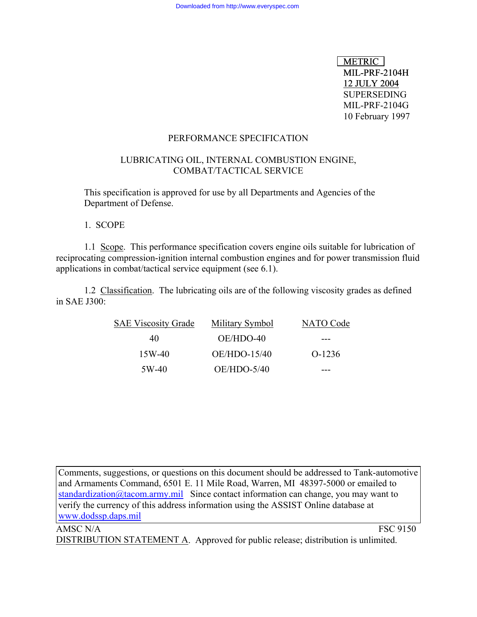METRIC<sup>1</sup> MIL-PRF-2104H 12 JULY 2004 SUPERSEDING MIL-PRF-2104G 10 February 1997

### PERFORMANCE SPECIFICATION

## LUBRICATING OIL, INTERNAL COMBUSTION ENGINE, COMBAT/TACTICAL SERVICE

This specification is approved for use by all Departments and Agencies of the Department of Defense.

1. SCOPE

1.1 Scope. This performance specification covers engine oils suitable for lubrication of reciprocating compression-ignition internal combustion engines and for power transmission fluid applications in combat/tactical service equipment (see 6.1).

1.2 Classification. The lubricating oils are of the following viscosity grades as defined in SAE J300:

| <b>SAE Viscosity Grade</b> | Military Symbol | <b>NATO</b> Code |
|----------------------------|-----------------|------------------|
| 40                         | OE/HDO-40       |                  |
| $15W-40$                   | OE/HDO-15/40    | $O-1236$         |
| 5W-40                      | $OE/HDO-5/40$   |                  |

Comments, suggestions, or questions on this document should be addressed to Tank-automotive and Armaments Command, 6501 E. 11 Mile Road, Warren, MI 48397-5000 or emailed to [standardization@tacom.army.mil](mailto:standardization@tacom.army.mil) Since contact information can change, you may want to verify the currency of this address information using the ASSIST Online database at [www.dodssp.daps.mil](http://www.dodssp.daps.mil/)

# AMSC N/A FSC 9150 DISTRIBUTION STATEMENT A. Approved for public release; distribution is unlimited.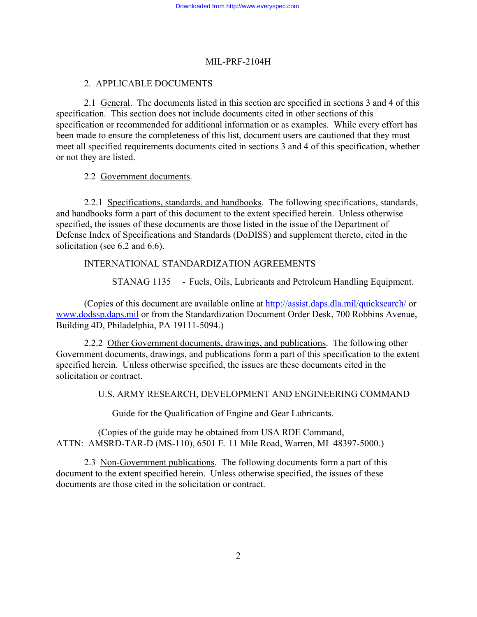# 2. APPLICABLE DOCUMENTS

2.1 General. The documents listed in this section are specified in sections 3 and 4 of this specification. This section does not include documents cited in other sections of this specification or recommended for additional information or as examples. While every effort has been made to ensure the completeness of this list, document users are cautioned that they must meet all specified requirements documents cited in sections 3 and 4 of this specification, whether or not they are listed.

# 2.2 Government documents.

2.2.1 Specifications, standards, and handbooks. The following specifications, standards, and handbooks form a part of this document to the extent specified herein. Unless otherwise specified, the issues of these documents are those listed in the issue of the Department of Defense Index of Specifications and Standards (DoDISS) and supplement thereto, cited in the solicitation (see 6.2 and 6.6).

# INTERNATIONAL STANDARDIZATION AGREEMENTS

STANAG 1135 - Fuels, Oils, Lubricants and Petroleum Handling Equipment.

(Copies of this document are available online at <http://assist.daps.dla.mil/quicksearch/> or [www.dodssp.daps.mil](http://www.dodssp.daps.mil/) or from the Standardization Document Order Desk, 700 Robbins Avenue, Building 4D, Philadelphia, PA 19111-5094.)

2.2.2 Other Government documents, drawings, and publications. The following other Government documents, drawings, and publications form a part of this specification to the extent specified herein. Unless otherwise specified, the issues are these documents cited in the solicitation or contract.

U.S. ARMY RESEARCH, DEVELOPMENT AND ENGINEERING COMMAND

Guide for the Qualification of Engine and Gear Lubricants.

(Copies of the guide may be obtained from USA RDE Command, ATTN: AMSRD-TAR-D (MS-110), 6501 E. 11 Mile Road, Warren, MI 48397-5000.)

2.3 Non-Government publications. The following documents form a part of this document to the extent specified herein. Unless otherwise specified, the issues of these documents are those cited in the solicitation or contract.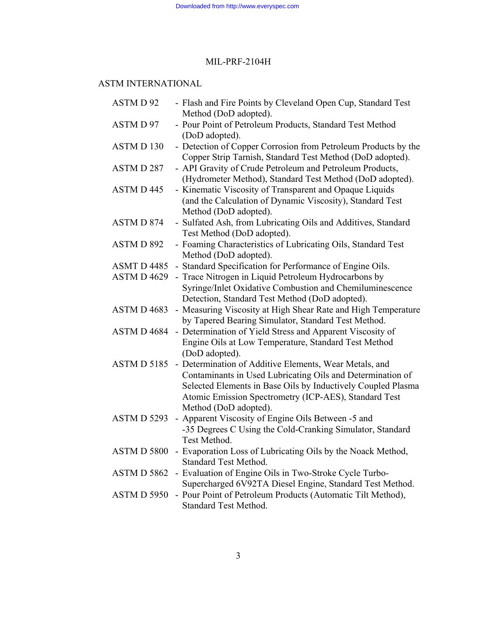# ASTM INTERNATIONAL

| ASTM D 92          | - Flash and Fire Points by Cleveland Open Cup, Standard Test<br>Method (DoD adopted).                                                                                                                                                                                  |
|--------------------|------------------------------------------------------------------------------------------------------------------------------------------------------------------------------------------------------------------------------------------------------------------------|
| ASTMD 97           | - Pour Point of Petroleum Products, Standard Test Method<br>(DoD adopted).                                                                                                                                                                                             |
| <b>ASTMD130</b>    | - Detection of Copper Corrosion from Petroleum Products by the<br>Copper Strip Tarnish, Standard Test Method (DoD adopted).                                                                                                                                            |
| ASTM D 287         | - API Gravity of Crude Petroleum and Petroleum Products,<br>(Hydrometer Method), Standard Test Method (DoD adopted).                                                                                                                                                   |
| ASTM D 445         | - Kinematic Viscosity of Transparent and Opaque Liquids<br>(and the Calculation of Dynamic Viscosity), Standard Test<br>Method (DoD adopted).                                                                                                                          |
| <b>ASTMD 874</b>   | - Sulfated Ash, from Lubricating Oils and Additives, Standard<br>Test Method (DoD adopted).                                                                                                                                                                            |
| ASTM D 892         | - Foaming Characteristics of Lubricating Oils, Standard Test<br>Method (DoD adopted).                                                                                                                                                                                  |
| ASMT D 4485        | - Standard Specification for Performance of Engine Oils.                                                                                                                                                                                                               |
| ASTM D 4629        | - Trace Nitrogen in Liquid Petroleum Hydrocarbons by<br>Syringe/Inlet Oxidative Combustion and Chemiluminescence<br>Detection, Standard Test Method (DoD adopted).                                                                                                     |
| ASTM D 4683        | - Measuring Viscosity at High Shear Rate and High Temperature<br>by Tapered Bearing Simulator, Standard Test Method.                                                                                                                                                   |
| ASTM D 4684        | - Determination of Yield Stress and Apparent Viscosity of<br>Engine Oils at Low Temperature, Standard Test Method<br>(DoD adopted).                                                                                                                                    |
| <b>ASTMD 5185</b>  | - Determination of Additive Elements, Wear Metals, and<br>Contaminants in Used Lubricating Oils and Determination of<br>Selected Elements in Base Oils by Inductively Coupled Plasma<br>Atomic Emission Spectrometry (ICP-AES), Standard Test<br>Method (DoD adopted). |
| <b>ASTM D 5293</b> | - Apparent Viscosity of Engine Oils Between -5 and<br>-35 Degrees C Using the Cold-Cranking Simulator, Standard<br>Test Method.                                                                                                                                        |
| ASTM D 5800        | - Evaporation Loss of Lubricating Oils by the Noack Method,<br><b>Standard Test Method.</b>                                                                                                                                                                            |
| ASTM D 5862        | - Evaluation of Engine Oils in Two-Stroke Cycle Turbo-<br>Supercharged 6V92TA Diesel Engine, Standard Test Method.                                                                                                                                                     |
| ASTM D 5950        | - Pour Point of Petroleum Products (Automatic Tilt Method),<br>Standard Test Method.                                                                                                                                                                                   |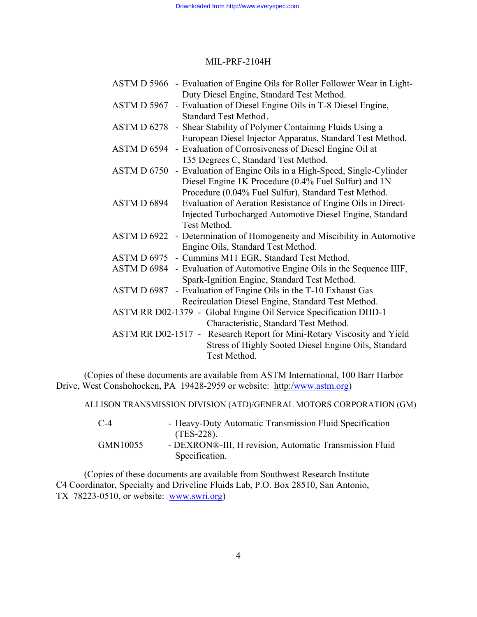| ASTM D 5966 - Evaluation of Engine Oils for Roller Follower Wear in Light- |
|----------------------------------------------------------------------------|
| Duty Diesel Engine, Standard Test Method.                                  |
| ASTM D 5967 - Evaluation of Diesel Engine Oils in T-8 Diesel Engine,       |
| Standard Test Method.                                                      |
| ASTM D 6278 - Shear Stability of Polymer Containing Fluids Using a         |
| European Diesel Injector Apparatus, Standard Test Method.                  |
| ASTM D 6594 - Evaluation of Corrosiveness of Diesel Engine Oil at          |
| 135 Degrees C, Standard Test Method.                                       |
| ASTM D 6750 - Evaluation of Engine Oils in a High-Speed, Single-Cylinder   |
| Diesel Engine 1K Procedure (0.4% Fuel Sulfur) and 1N                       |
| Procedure (0.04% Fuel Sulfur), Standard Test Method.                       |
| Evaluation of Aeration Resistance of Engine Oils in Direct-<br>ASTM D 6894 |
| Injected Turbocharged Automotive Diesel Engine, Standard                   |
| Test Method.                                                               |
| ASTM D 6922 - Determination of Homogeneity and Miscibility in Automotive   |
| Engine Oils, Standard Test Method.                                         |
| ASTM D 6975 - Cummins M11 EGR, Standard Test Method.                       |
| ASTM D 6984 - Evaluation of Automotive Engine Oils in the Sequence IIIF,   |
| Spark-Ignition Engine, Standard Test Method.                               |
| ASTM D 6987 - Evaluation of Engine Oils in the T-10 Exhaust Gas            |
| Recirculation Diesel Engine, Standard Test Method.                         |
| ASTM RR D02-1379 - Global Engine Oil Service Specification DHD-1           |
| Characteristic, Standard Test Method.                                      |
| ASTM RR D02-1517 - Research Report for Mini-Rotary Viscosity and Yield     |
| Stress of Highly Sooted Diesel Engine Oils, Standard                       |
| Test Method.                                                               |
|                                                                            |

 (Copies of these documents are available from ASTM International, 100 Barr Harbor Drive, West Conshohocken, PA 19428-2959 or website: http:[/www.astm.org\)](http://www.astm.org/)

ALLISON TRANSMISSION DIVISION (ATD)/GENERAL MOTORS CORPORATION (GM)

| $C-4$    | - Heavy-Duty Automatic Transmission Fluid Specification |
|----------|---------------------------------------------------------|
|          | $(TES-228).$                                            |
| GMN10055 | - DEXRON®-III, H revision, Automatic Transmission Fluid |
|          | Specification.                                          |

(Copies of these documents are available from Southwest Research Institute C4 Coordinator, Specialty and Driveline Fluids Lab, P.O. Box 28510, San Antonio, TX 78223-0510, or website: [www.swri.org\)](http://www.swri.org/)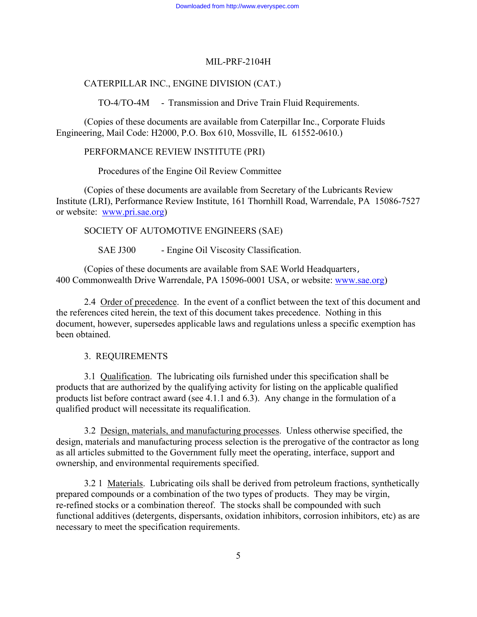# CATERPILLAR INC., ENGINE DIVISION (CAT.)

TO-4/TO-4M - Transmission and Drive Train Fluid Requirements.

(Copies of these documents are available from Caterpillar Inc., Corporate Fluids Engineering, Mail Code: H2000, P.O. Box 610, Mossville, IL 61552-0610.)

PERFORMANCE REVIEW INSTITUTE (PRI)

Procedures of the Engine Oil Review Committee

(Copies of these documents are available from Secretary of the Lubricants Review Institute (LRI), Performance Review Institute, 161 Thornhill Road, Warrendale, PA 15086-7527 or website: [www.pri.sae.org\)](http://www.pri.sae.org/)

SOCIETY OF AUTOMOTIVE ENGINEERS (SAE)

SAE J300 - Engine Oil Viscosity Classification.

(Copies of these documents are available from SAE World Headquarters, 400 Commonwealth Drive Warrendale, PA 15096-0001 USA, or website:<www.sae.org>)

2.4 Order of precedence. In the event of a conflict between the text of this document and the references cited herein, the text of this document takes precedence. Nothing in this document, however, supersedes applicable laws and regulations unless a specific exemption has been obtained.

3. REQUIREMENTS

3.1 Qualification. The lubricating oils furnished under this specification shall be products that are authorized by the qualifying activity for listing on the applicable qualified products list before contract award (see 4.1.1 and 6.3). Any change in the formulation of a qualified product will necessitate its requalification.

3.2 Design, materials, and manufacturing processes. Unless otherwise specified, the design, materials and manufacturing process selection is the prerogative of the contractor as long as all articles submitted to the Government fully meet the operating, interface, support and ownership, and environmental requirements specified.

3.2 1 Materials. Lubricating oils shall be derived from petroleum fractions, synthetically prepared compounds or a combination of the two types of products. They may be virgin, re-refined stocks or a combination thereof. The stocks shall be compounded with such functional additives (detergents, dispersants, oxidation inhibitors, corrosion inhibitors, etc) as are necessary to meet the specification requirements.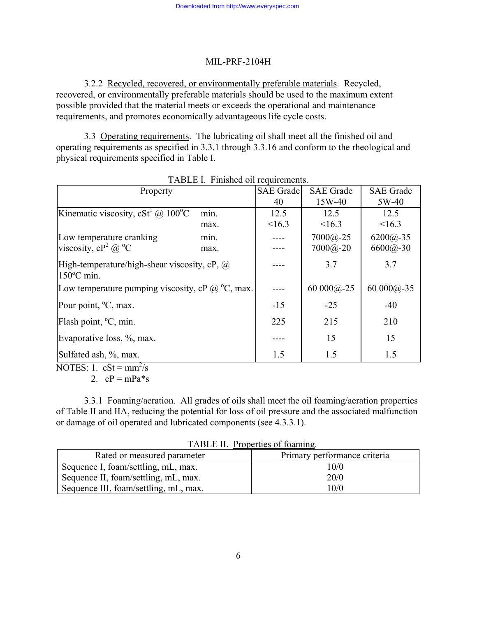3.2.2 Recycled, recovered, or environmentally preferable materials. Recycled, recovered, or environmentally preferable materials should be used to the maximum extent possible provided that the material meets or exceeds the operational and maintenance requirements, and promotes economically advantageous life cycle costs.

3.3 Operating requirements. The lubricating oil shall meet all the finished oil and operating requirements as specified in 3.3.1 through 3.3.16 and conform to the rheological and physical requirements specified in Table I.

| $\frac{1}{2}$<br>Property                                         |      | <b>SAE</b> Grade | <b>SAE</b> Grade | <b>SAE</b> Grade |
|-------------------------------------------------------------------|------|------------------|------------------|------------------|
|                                                                   |      | 40               | 15W-40           | 5W-40            |
| Kinematic viscosity, cSt <sup>1</sup> @ 100 <sup>o</sup> C        | min. | 12.5             | 12.5             | 12.5             |
|                                                                   | max. | <16.3            | <16.3            | <16.3            |
| Low temperature cranking                                          | min. |                  | $7000(a)-25$     | $6200(a)-35$     |
| viscosity, $cP^2$ @ $^{\circ}C$                                   | max. |                  | $7000(a) - 20$   | $6600@ - 30$     |
| High-temperature/high-shear viscosity, cP, $\omega$<br>150°C min. |      |                  | 3.7              | 3.7              |
| Low temperature pumping viscosity, cP $(a)$ °C, max.              |      |                  | 60 000 $@-25$    | 60 000 $@-35$    |
| Pour point, <sup>o</sup> C, max.                                  |      | $-15$            | $-25$            | $-40$            |
| Flash point, <sup>o</sup> C, min.                                 |      | 225              | 215              | 210              |
| Evaporative loss, %, max.                                         |      |                  | 15               | 15               |
| Sulfated ash, %, max.                                             |      | 1.5              | 1.5              | 1.5              |

NOTES: 1.  $cSt = \frac{mm^2}{s}$ 

2.  $cP = mPa*_{S}$ 

3.3.1 Foaming/aeration. All grades of oils shall meet the oil foaming/aeration properties of Table II and IIA, reducing the potential for loss of oil pressure and the associated malfunction or damage of oil operated and lubricated components (see 4.3.3.1).

| TADLL II, TROPORTUGS OF ROGHLING.     |                              |  |
|---------------------------------------|------------------------------|--|
| Rated or measured parameter           | Primary performance criteria |  |
| Sequence I, foam/settling, mL, max.   | 10/0                         |  |
| Sequence II, foam/settling, mL, max.  | 20/0                         |  |
| Sequence III, foam/settling, mL, max. | 10/0                         |  |

TABLE II. Properties of foaming.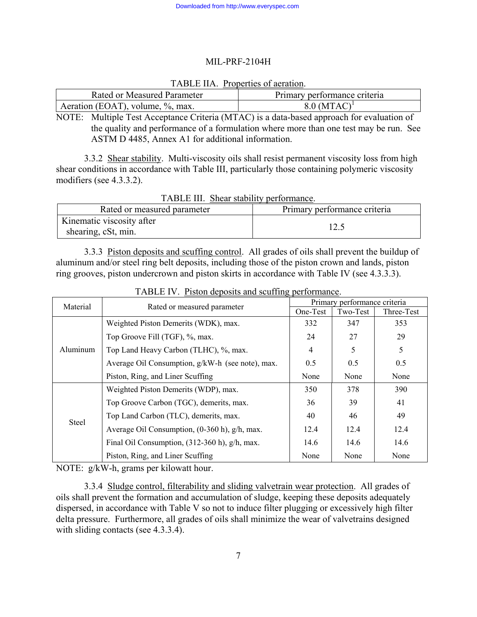### TABLE IIA. Properties of aeration.

| Rated or Measured Parameter      | Primary performance criteria |
|----------------------------------|------------------------------|
| Aeration (EOAT), volume, %, max. | $8.0$ (MTAC) <sup>1</sup>    |

NOTE: Multiple Test Acceptance Criteria (MTAC) is a data-based approach for evaluation of the quality and performance of a formulation where more than one test may be run. See ASTM D 4485, Annex A1 for additional information.

3.3.2 Shear stability. Multi-viscosity oils shall resist permanent viscosity loss from high shear conditions in accordance with Table III, particularly those containing polymeric viscosity modifiers (see 4.3.3.2).

| THIS III, SHOW SUGGING, BUILDIMMING.             |                              |  |  |  |
|--------------------------------------------------|------------------------------|--|--|--|
| Rated or measured parameter                      | Primary performance criteria |  |  |  |
| Kinematic viscosity after<br>shearing, cSt, min. |                              |  |  |  |

TABLE III. Shear stability performance.

3.3.3 Piston deposits and scuffing control. All grades of oils shall prevent the buildup of aluminum and/or steel ring belt deposits, including those of the piston crown and lands, piston ring grooves, piston undercrown and piston skirts in accordance with Table IV (see 4.3.3.3).

| Material |                                                  | Primary performance criteria |          |            |
|----------|--------------------------------------------------|------------------------------|----------|------------|
|          | Rated or measured parameter                      | One-Test                     | Two-Test | Three-Test |
|          | Weighted Piston Demerits (WDK), max.             | 332                          | 347      | 353        |
|          | Top Groove Fill (TGF), %, max.                   | 24                           | 27       | 29         |
| Aluminum | Top Land Heavy Carbon (TLHC), %, max.            | 4                            | 5        | 5          |
|          | Average Oil Consumption, g/kW-h (see note), max. | 0.5                          | 0.5      | 0.5        |
|          | Piston, Ring, and Liner Scuffing                 | None                         | None     | None       |
|          | Weighted Piston Demerits (WDP), max.             | 350                          | 378      | 390        |
| Steel    | Top Groove Carbon (TGC), demerits, max.          | 36                           | 39       | 41         |
|          | Top Land Carbon (TLC), demerits, max.            | 40                           | 46       | 49         |
|          | Average Oil Consumption, (0-360 h), g/h, max.    | 12.4                         | 12.4     | 12.4       |
|          | Final Oil Consumption, (312-360 h), g/h, max.    | 14.6                         | 14.6     | 14.6       |
|          | Piston, Ring, and Liner Scuffing                 | None                         | None     | None       |

TABLE IV. Piston deposits and scuffing performance.

NOTE: g/kW-h, grams per kilowatt hour.

3.3.4 Sludge control, filterability and sliding valvetrain wear protection. All grades of oils shall prevent the formation and accumulation of sludge, keeping these deposits adequately dispersed, in accordance with Table V so not to induce filter plugging or excessively high filter delta pressure. Furthermore, all grades of oils shall minimize the wear of valvetrains designed with sliding contacts (see 4.3.3.4).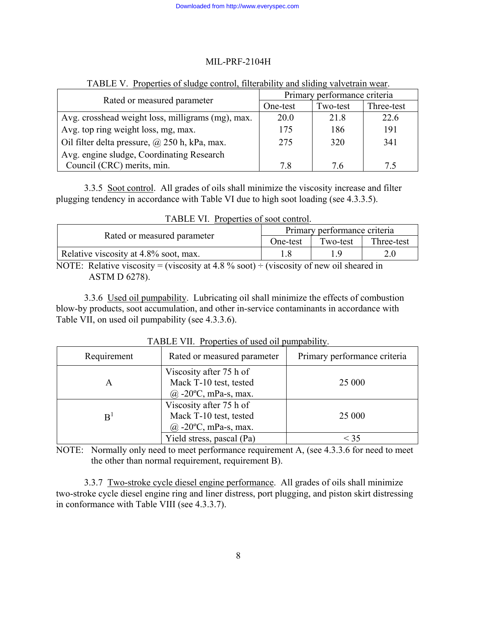| Rated or measured parameter                       | Primary performance criteria |          |            |  |
|---------------------------------------------------|------------------------------|----------|------------|--|
|                                                   | One-test                     | Two-test | Three-test |  |
| Avg. crosshead weight loss, milligrams (mg), max. | 20.0                         | 21.8     | 22.6       |  |
| Avg. top ring weight loss, mg, max.               | 175                          | 186      | 191        |  |
| Oil filter delta pressure, @ 250 h, kPa, max.     | 275                          | 320      | 341        |  |
| Avg. engine sludge, Coordinating Research         |                              |          |            |  |
| Council (CRC) merits, min.                        | 78                           | 76       | 7.5        |  |

### TABLE V. Properties of sludge control, filterability and sliding valvetrain wear.

3.3.5 Soot control. All grades of oils shall minimize the viscosity increase and filter plugging tendency in accordance with Table VI due to high soot loading (see 4.3.3.5).

| Tradelle VI. Troperies of soot control.                                                           |                              |          |            |  |
|---------------------------------------------------------------------------------------------------|------------------------------|----------|------------|--|
|                                                                                                   | Primary performance criteria |          |            |  |
| Rated or measured parameter                                                                       | One-test                     | Two-test | Three-test |  |
| Relative viscosity at 4.8% soot, max.                                                             |                              |          |            |  |
| $NOTF:$ Polative viccosity = (viccosity at $\Lambda$ 8 % cost) = (viccosity of new oil sheared in |                              |          |            |  |

TABLE VI. Properties of soot control.

NOTE: Relative viscosity = (viscosity at 4.8  $\%$  soot) ÷ (viscosity of new oil sheared in ASTM D 6278).

3.3.6 Used oil pumpability. Lubricating oil shall minimize the effects of combustion blow-by products, soot accumulation, and other in-service contaminants in accordance with Table VII, on used oil pumpability (see 4.3.3.6).

| Requirement | Rated or measured parameter                                                   | Primary performance criteria |
|-------------|-------------------------------------------------------------------------------|------------------------------|
| A           | Viscosity after 75 h of<br>Mack T-10 test, tested<br>$(a)$ -20°C, mPa-s, max. | 25 000                       |
| B           | Viscosity after 75 h of<br>Mack T-10 test, tested<br>$(a)$ -20°C, mPa-s, max. | 25 000                       |
|             | Yield stress, pascal (Pa)                                                     | $<$ 35                       |

TABLE VII. Properties of used oil pumpability.

NOTE: Normally only need to meet performance requirement A, (see 4.3.3.6 for need to meet the other than normal requirement, requirement B).

3.3.7 Two-stroke cycle diesel engine performance. All grades of oils shall minimize two-stroke cycle diesel engine ring and liner distress, port plugging, and piston skirt distressing in conformance with Table VIII (see 4.3.3.7).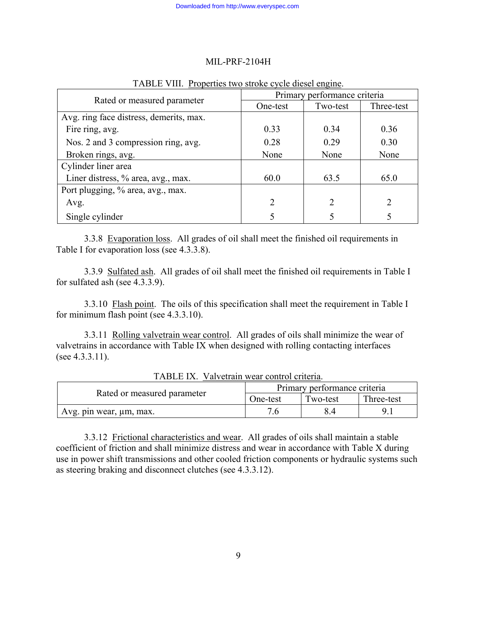|                                         | Primary performance criteria |          |                |
|-----------------------------------------|------------------------------|----------|----------------|
| Rated or measured parameter             | One-test                     | Two-test | Three-test     |
| Avg. ring face distress, demerits, max. |                              |          |                |
| Fire ring, avg.                         | 0.33                         | 0.34     | 0.36           |
| Nos. 2 and 3 compression ring, avg.     | 0.28                         | 0.29     | 0.30           |
| Broken rings, avg.                      | None                         | None     | None           |
| Cylinder liner area                     |                              |          |                |
| Liner distress, % area, avg., max.      | 60.0                         | 63.5     | 65.0           |
| Port plugging, % area, avg., max.       |                              |          |                |
| Avg.                                    | $\overline{2}$               | 2        | $\overline{2}$ |
| Single cylinder                         | 5                            |          |                |

### TABLE VIII. Properties two stroke cycle diesel engine.

3.3.8 Evaporation loss. All grades of oil shall meet the finished oil requirements in Table I for evaporation loss (see 4.3.3.8).

3.3.9 Sulfated ash. All grades of oil shall meet the finished oil requirements in Table I for sulfated ash (see 4.3.3.9).

3.3.10 Flash point. The oils of this specification shall meet the requirement in Table I for minimum flash point (see 4.3.3.10).

3.3.11 Rolling valvetrain wear control. All grades of oils shall minimize the wear of valvetrains in accordance with Table IX when designed with rolling contacting interfaces (see 4.3.3.11).

|                             | Primary performance criteria |          |            |
|-----------------------------|------------------------------|----------|------------|
| Rated or measured parameter | One-test                     | Two-test | Three-test |
| Avg. pin wear, um, max.     |                              |          |            |

TABLE IX. Valvetrain wear control criteria.

3.3.12 Frictional characteristics and wear. All grades of oils shall maintain a stable coefficient of friction and shall minimize distress and wear in accordance with Table X during use in power shift transmissions and other cooled friction components or hydraulic systems such as steering braking and disconnect clutches (see 4.3.3.12).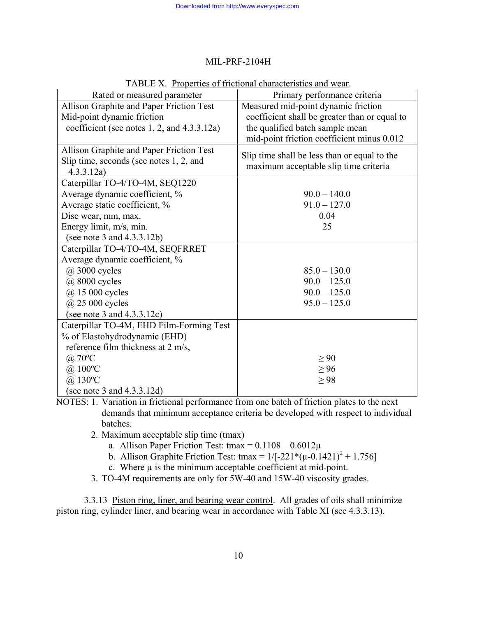|                                             | There is, Tropernes of Hieronal Characteristics and Wear.<br>Primary performance criteria |
|---------------------------------------------|-------------------------------------------------------------------------------------------|
| Rated or measured parameter                 |                                                                                           |
| Allison Graphite and Paper Friction Test    | Measured mid-point dynamic friction                                                       |
| Mid-point dynamic friction                  | coefficient shall be greater than or equal to                                             |
| coefficient (see notes 1, 2, and 4.3.3.12a) | the qualified batch sample mean                                                           |
|                                             | mid-point friction coefficient minus 0.012                                                |
| Allison Graphite and Paper Friction Test    | Slip time shall be less than or equal to the                                              |
| Slip time, seconds (see notes 1, 2, and     | maximum acceptable slip time criteria                                                     |
| 4.3.3.12a)                                  |                                                                                           |
| Caterpillar TO-4/TO-4M, SEQ1220             |                                                                                           |
| Average dynamic coefficient, %              | $90.0 - 140.0$                                                                            |
| Average static coefficient, %               | $91.0 - 127.0$                                                                            |
| Disc wear, mm, max.                         | 0.04                                                                                      |
| Energy limit, m/s, min.                     | 25                                                                                        |
| (see note 3 and $4.3.3.12b$ )               |                                                                                           |
| Caterpillar TO-4/TO-4M, SEQFRRET            |                                                                                           |
| Average dynamic coefficient, %              |                                                                                           |
| $(a)$ 3000 cycles                           | $85.0 - 130.0$                                                                            |
| @ 8000 cycles                               | $90.0 - 125.0$                                                                            |
| $(a)$ 15 000 cycles                         | $90.0 - 125.0$                                                                            |
| $(a)$ 25 000 cycles                         | $95.0 - 125.0$                                                                            |
| (see note 3 and $4.3.3.12c$ )               |                                                                                           |
| Caterpillar TO-4M, EHD Film-Forming Test    |                                                                                           |
| % of Elastohydrodynamic (EHD)               |                                                                                           |
| reference film thickness at 2 m/s,          |                                                                                           |
| $\omega$ 70°C                               | $\geq 90$                                                                                 |
| $\omega$ 100°C                              | $\geq 96$                                                                                 |
| $(a)$ 130°C                                 | $\geq$ 98                                                                                 |
| (see note 3 and $4.3.3.12d$ )               |                                                                                           |

TABLE X. Properties of frictional characteristics and wear.

NOTES: 1. Variation in frictional performance from one batch of friction plates to the next demands that minimum acceptance criteria be developed with respect to individual batches.

- 2. Maximum acceptable slip time (tmax)
	- a. Allison Paper Friction Test: tmax =  $0.1108 0.6012\mu$
	- b. Allison Graphite Friction Test: tmax =  $1/[-221*(\mu 0.1421)^{2} + 1.756]$ 
		- c. Where  $\mu$  is the minimum acceptable coefficient at mid-point.
- 3. TO-4M requirements are only for 5W-40 and 15W-40 viscosity grades.

3.3.13 Piston ring, liner, and bearing wear control. All grades of oils shall minimize piston ring, cylinder liner, and bearing wear in accordance with Table XI (see 4.3.3.13).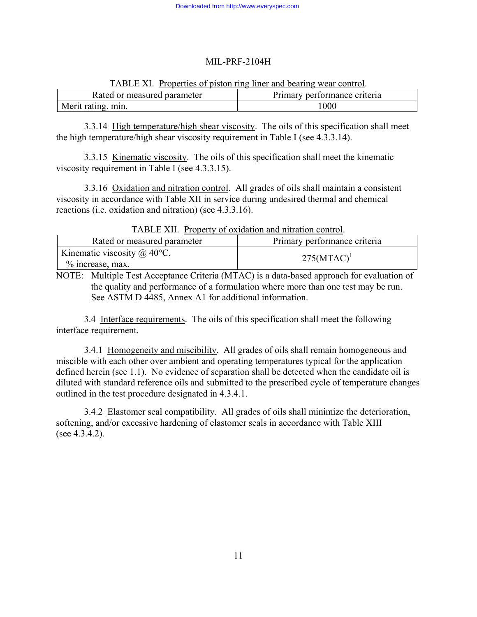|                             | TABLE XI. Properties of piston ring liner and bearing wear control. |  |
|-----------------------------|---------------------------------------------------------------------|--|
| Rated or measured parameter | Primary performance criteria                                        |  |
|                             |                                                                     |  |

| TABLE XI. Properties of piston ring liner and bearing wear control. |
|---------------------------------------------------------------------|
|---------------------------------------------------------------------|

Merit rating, min. 1000 3.3.14 High temperature/high shear viscosity. The oils of this specification shall meet

the high temperature/high shear viscosity requirement in Table I (see 4.3.3.14).

3.3.15 Kinematic viscosity. The oils of this specification shall meet the kinematic viscosity requirement in Table I (see 4.3.3.15).

3.3.16 Oxidation and nitration control. All grades of oils shall maintain a consistent viscosity in accordance with Table XII in service during undesired thermal and chemical reactions (i.e. oxidation and nitration) (see 4.3.3.16).

| Tribel All. Troperty of oxidation and intration control.  |                              |
|-----------------------------------------------------------|------------------------------|
| Rated or measured parameter                               | Primary performance criteria |
| Kinematic viscosity $\omega$ 40°C,<br>$\%$ increase, max. | $275(MTAC)^1$                |

TABLE XII. Property of oxidation and nitration control.

NOTE: Multiple Test Acceptance Criteria (MTAC) is a data-based approach for evaluation of the quality and performance of a formulation where more than one test may be run. See ASTM D 4485, Annex A1 for additional information.

3.4 Interface requirements. The oils of this specification shall meet the following interface requirement.

3.4.1 Homogeneity and miscibility. All grades of oils shall remain homogeneous and miscible with each other over ambient and operating temperatures typical for the application defined herein (see 1.1). No evidence of separation shall be detected when the candidate oil is diluted with standard reference oils and submitted to the prescribed cycle of temperature changes outlined in the test procedure designated in 4.3.4.1.

3.4.2 Elastomer seal compatibility. All grades of oils shall minimize the deterioration, softening, and/or excessive hardening of elastomer seals in accordance with Table XIII (see 4.3.4.2).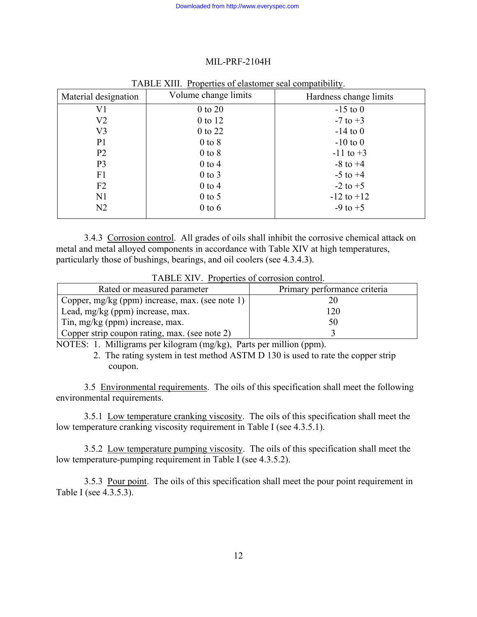| Material designation | Volume change limits | Hardness change limits |
|----------------------|----------------------|------------------------|
| V <sub>1</sub>       | $0$ to $20$          | $-15$ to 0             |
| V <sub>2</sub>       | 0 to 12              | $-7$ to $+3$           |
| V <sub>3</sub>       | 0 to 22              | $-14$ to 0             |
| P <sub>1</sub>       | $0$ to $8$           | $-10$ to $0$           |
| P <sub>2</sub>       | $0$ to $8$           | $-11$ to $+3$          |
| P <sub>3</sub>       | $0$ to $4$           | $-8$ to $+4$           |
| F1                   | $0$ to $3$           | $-5$ to $+4$           |
| F <sub>2</sub>       | $0$ to $4$           | $-2$ to $+5$           |
| N1                   | $0$ to 5             | $-12$ to $+12$         |
| N2                   | $0$ to $6$           | $-9$ to $+5$           |

#### TABLE XIII. Properties of elastomer seal compatibility.

3.4.3 Corrosion control. All grades of oils shall inhibit the corrosive chemical attack on metal and metal alloyed components in accordance with Table XIV at high temperatures, particularly those of bushings, bearings, and oil coolers (see 4.3.4.3).

TABLE XIV. Properties of corrosion control.

| Rated or measured parameter                     | Primary performance criteria |
|-------------------------------------------------|------------------------------|
| Copper, mg/kg (ppm) increase, max. (see note 1) |                              |
| Lead, mg/kg (ppm) increase, max.                |                              |
| Tin, mg/kg (ppm) increase, max.                 |                              |
| Copper strip coupon rating, max. (see note 2)   |                              |

NOTES: 1. Milligrams per kilogram (mg/kg), Parts per million (ppm).

 2. The rating system in test method ASTM D 130 is used to rate the copper strip coupon.

3.5 Environmental requirements. The oils of this specification shall meet the following environmental requirements.

3.5.1 Low temperature cranking viscosity. The oils of this specification shall meet the low temperature cranking viscosity requirement in Table I (see 4.3.5.1).

3.5.2 Low temperature pumping viscosity. The oils of this specification shall meet the low temperature-pumping requirement in Table I (see 4.3.5.2).

3.5.3 Pour point. The oils of this specification shall meet the pour point requirement in Table I (see 4.3.5.3).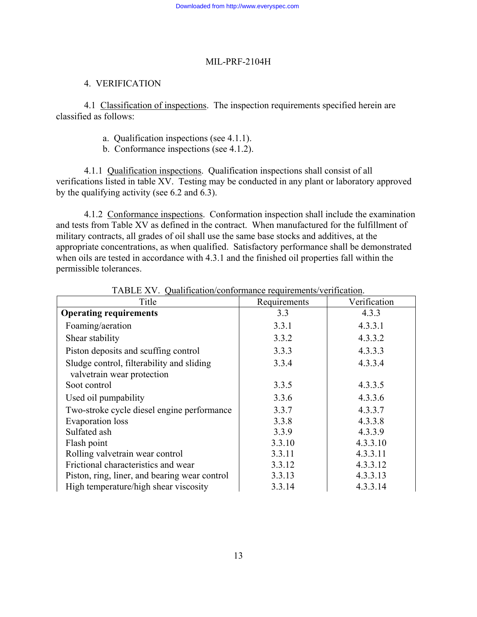# 4. VERIFICATION

4.1 Classification of inspections. The inspection requirements specified herein are classified as follows:

- a. Qualification inspections (see 4.1.1).
- b. Conformance inspections (see 4.1.2).

4.1.1 Qualification inspections. Qualification inspections shall consist of all verifications listed in table XV. Testing may be conducted in any plant or laboratory approved by the qualifying activity (see 6.2 and 6.3).

4.1.2 Conformance inspections. Conformation inspection shall include the examination and tests from Table XV as defined in the contract. When manufactured for the fulfillment of military contracts, all grades of oil shall use the same base stocks and additives, at the appropriate concentrations, as when qualified. Satisfactory performance shall be demonstrated when oils are tested in accordance with 4.3.1 and the finished oil properties fall within the permissible tolerances.

| Title                                         | Requirements | Verification |
|-----------------------------------------------|--------------|--------------|
| <b>Operating requirements</b>                 | 3.3          | 4.3.3        |
| Foaming/aeration                              | 3.3.1        | 4.3.3.1      |
| Shear stability                               | 3.3.2        | 4.3.3.2      |
| Piston deposits and scuffing control          | 3.3.3        | 4.3.3.3      |
| Sludge control, filterability and sliding     | 3.3.4        | 4.3.3.4      |
| valvetrain wear protection                    |              |              |
| Soot control                                  | 3.3.5        | 4.3.3.5      |
| Used oil pumpability                          | 3.3.6        | 4.3.3.6      |
| Two-stroke cycle diesel engine performance    | 3.3.7        | 4.3.3.7      |
| Evaporation loss                              | 3.3.8        | 4.3.3.8      |
| Sulfated ash                                  | 3.3.9        | 4.3.3.9      |
| Flash point                                   | 3.3.10       | 4.3.3.10     |
| Rolling valvetrain wear control               | 3.3.11       | 4.3.3.11     |
| Frictional characteristics and wear           | 3.3.12       | 4.3.3.12     |
| Piston, ring, liner, and bearing wear control | 3.3.13       | 4.3.3.13     |
| High temperature/high shear viscosity         | 3.3.14       | 4.3.3.14     |

TABLE XV. Qualification/conformance requirements/verification.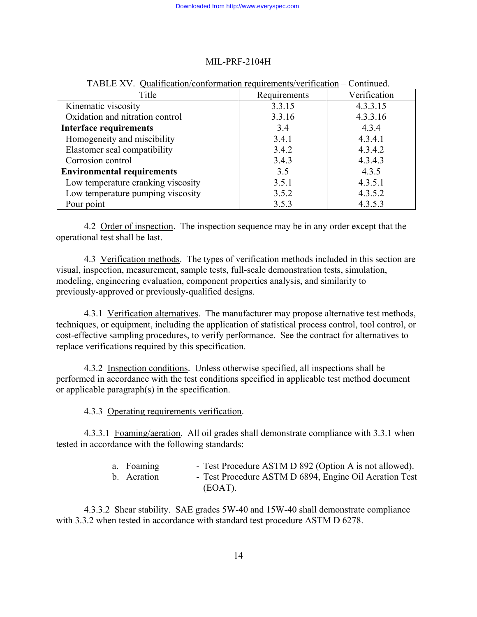| y authoritori comonitation requirements vernication |              |              |
|-----------------------------------------------------|--------------|--------------|
| Title                                               | Requirements | Verification |
| Kinematic viscosity                                 | 3.3.15       | 4.3.3.15     |
| Oxidation and nitration control                     | 3.3.16       | 4.3.3.16     |
| <b>Interface requirements</b>                       | 3.4          | 4.3.4        |
| Homogeneity and miscibility                         | 3.4.1        | 4.3.4.1      |
| Elastomer seal compatibility                        | 3.4.2        | 4.3.4.2      |
| Corrosion control                                   | 3.4.3        | 4.3.4.3      |
| <b>Environmental requirements</b>                   | 3.5          | 4.3.5        |
| Low temperature cranking viscosity                  | 3.5.1        | 4.3.5.1      |
| Low temperature pumping viscosity                   | 3.5.2        | 4.3.5.2      |
| Pour point                                          | 3.5.3        | 4.3.5.3      |

## TABLE XV. Qualification/conformation requirements/verification – Continued.

4.2 Order of inspection. The inspection sequence may be in any order except that the operational test shall be last.

4.3 Verification methods. The types of verification methods included in this section are visual, inspection, measurement, sample tests, full-scale demonstration tests, simulation, modeling, engineering evaluation, component properties analysis, and similarity to previously-approved or previously-qualified designs.

4.3.1 Verification alternatives. The manufacturer may propose alternative test methods, techniques, or equipment, including the application of statistical process control, tool control, or cost-effective sampling procedures, to verify performance. See the contract for alternatives to replace verifications required by this specification.

4.3.2 Inspection conditions. Unless otherwise specified, all inspections shall be performed in accordance with the test conditions specified in applicable test method document or applicable paragraph(s) in the specification.

4.3.3 Operating requirements verification.

4.3.3.1 Foaming/aeration. All oil grades shall demonstrate compliance with 3.3.1 when tested in accordance with the following standards:

| a. Foaming  | - Test Procedure ASTM D 892 (Option A is not allowed). |
|-------------|--------------------------------------------------------|
| b. Aeration | - Test Procedure ASTM D 6894, Engine Oil Aeration Test |
|             | (EOAT).                                                |

4.3.3.2 Shear stability. SAE grades 5W-40 and 15W-40 shall demonstrate compliance with 3.3.2 when tested in accordance with standard test procedure ASTM D 6278.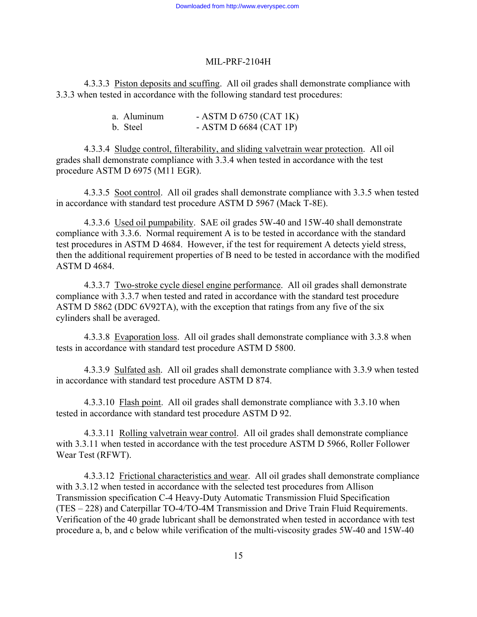4.3.3.3 Piston deposits and scuffing. All oil grades shall demonstrate compliance with 3.3.3 when tested in accordance with the following standard test procedures:

| a. Aluminum | - ASTM D $6750$ (CAT 1K) |
|-------------|--------------------------|
| b. Steel    | - ASTM D 6684 (CAT 1P)   |

4.3.3.4 Sludge control, filterability, and sliding valvetrain wear protection. All oil grades shall demonstrate compliance with 3.3.4 when tested in accordance with the test procedure ASTM D 6975 (M11 EGR).

4.3.3.5 Soot control. All oil grades shall demonstrate compliance with 3.3.5 when tested in accordance with standard test procedure ASTM D 5967 (Mack T-8E).

4.3.3.6 Used oil pumpability. SAE oil grades 5W-40 and 15W-40 shall demonstrate compliance with 3.3.6. Normal requirement A is to be tested in accordance with the standard test procedures in ASTM D 4684. However, if the test for requirement A detects yield stress, then the additional requirement properties of B need to be tested in accordance with the modified ASTM D 4684.

4.3.3.7 Two-stroke cycle diesel engine performance. All oil grades shall demonstrate compliance with 3.3.7 when tested and rated in accordance with the standard test procedure ASTM D 5862 (DDC 6V92TA), with the exception that ratings from any five of the six cylinders shall be averaged.

4.3.3.8 Evaporation loss. All oil grades shall demonstrate compliance with 3.3.8 when tests in accordance with standard test procedure ASTM D 5800.

4.3.3.9 Sulfated ash. All oil grades shall demonstrate compliance with 3.3.9 when tested in accordance with standard test procedure ASTM D 874.

4.3.3.10 Flash point. All oil grades shall demonstrate compliance with 3.3.10 when tested in accordance with standard test procedure ASTM D 92.

4.3.3.11 Rolling valvetrain wear control. All oil grades shall demonstrate compliance with 3.3.11 when tested in accordance with the test procedure ASTM D 5966, Roller Follower Wear Test (RFWT).

4.3.3.12 Frictional characteristics and wear. All oil grades shall demonstrate compliance with 3.3.12 when tested in accordance with the selected test procedures from Allison Transmission specification C-4 Heavy-Duty Automatic Transmission Fluid Specification (TES – 228) and Caterpillar TO-4/TO-4M Transmission and Drive Train Fluid Requirements. Verification of the 40 grade lubricant shall be demonstrated when tested in accordance with test procedure a, b, and c below while verification of the multi-viscosity grades 5W-40 and 15W-40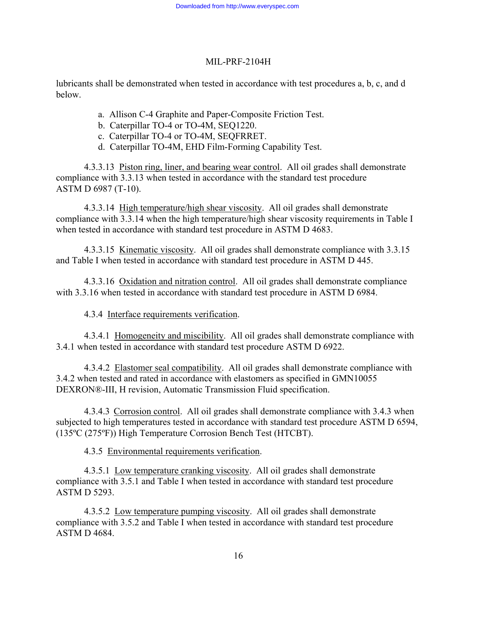lubricants shall be demonstrated when tested in accordance with test procedures a, b, c, and d below.

- a. Allison C-4 Graphite and Paper-Composite Friction Test.
- b. Caterpillar TO-4 or TO-4M, SEQ1220.
- c. Caterpillar TO-4 or TO-4M, SEQFRRET.
- d. Caterpillar TO-4M, EHD Film-Forming Capability Test.

4.3.3.13 Piston ring, liner, and bearing wear control. All oil grades shall demonstrate compliance with 3.3.13 when tested in accordance with the standard test procedure ASTM D 6987 (T-10).

4.3.3.14 High temperature/high shear viscosity. All oil grades shall demonstrate compliance with 3.3.14 when the high temperature/high shear viscosity requirements in Table I when tested in accordance with standard test procedure in ASTM D 4683.

4.3.3.15 Kinematic viscosity. All oil grades shall demonstrate compliance with 3.3.15 and Table I when tested in accordance with standard test procedure in ASTM D 445.

4.3.3.16 Oxidation and nitration control. All oil grades shall demonstrate compliance with 3.3.16 when tested in accordance with standard test procedure in ASTM D 6984.

4.3.4 Interface requirements verification.

4.3.4.1 Homogeneity and miscibility. All oil grades shall demonstrate compliance with 3.4.1 when tested in accordance with standard test procedure ASTM D 6922.

4.3.4.2 Elastomer seal compatibility. All oil grades shall demonstrate compliance with 3.4.2 when tested and rated in accordance with elastomers as specified in GMN10055 DEXRON®-III, H revision, Automatic Transmission Fluid specification.

4.3.4.3 Corrosion control. All oil grades shall demonstrate compliance with 3.4.3 when subjected to high temperatures tested in accordance with standard test procedure ASTM D 6594, (135ºC (275ºF)) High Temperature Corrosion Bench Test (HTCBT).

4.3.5 Environmental requirements verification.

4.3.5.1 Low temperature cranking viscosity. All oil grades shall demonstrate compliance with 3.5.1 and Table I when tested in accordance with standard test procedure ASTM D 5293.

4.3.5.2 Low temperature pumping viscosity. All oil grades shall demonstrate compliance with 3.5.2 and Table I when tested in accordance with standard test procedure ASTM D 4684.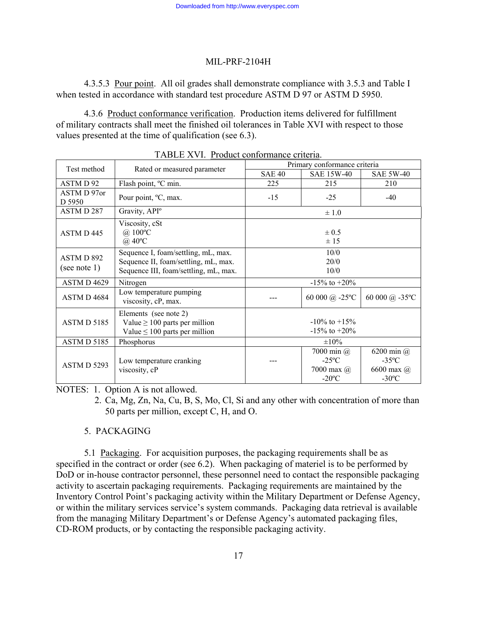4.3.5.3 Pour point. All oil grades shall demonstrate compliance with 3.5.3 and Table I when tested in accordance with standard test procedure ASTM D 97 or ASTM D 5950.

4.3.6 Product conformance verification. Production items delivered for fulfillment of military contracts shall meet the finished oil tolerances in Table XVI with respect to those values presented at the time of qualification (see 6.3).

| 17 ADELE 78 V I. - 1 TOGACI COMOTHIANCE CHICHA. |                                                                                                                      |                              |                                                                |                                                                       |  |  |  |  |  |
|-------------------------------------------------|----------------------------------------------------------------------------------------------------------------------|------------------------------|----------------------------------------------------------------|-----------------------------------------------------------------------|--|--|--|--|--|
| Test method                                     | Rated or measured parameter                                                                                          | Primary conformance criteria |                                                                |                                                                       |  |  |  |  |  |
|                                                 |                                                                                                                      | <b>SAE 40</b>                | <b>SAE 15W-40</b>                                              | <b>SAE 5W-40</b>                                                      |  |  |  |  |  |
| ASTM D 92                                       | Flash point, °C min.                                                                                                 | 225                          | 215                                                            | 210                                                                   |  |  |  |  |  |
| ASTM D 97or<br>D 5950                           | Pour point, <sup>o</sup> C, max.                                                                                     | $-15$                        | $-25$                                                          | $-40$                                                                 |  |  |  |  |  |
| ASTMD 287                                       | Gravity, API <sup>o</sup>                                                                                            |                              | $\pm 1.0$                                                      |                                                                       |  |  |  |  |  |
| ASTM D 445                                      | Viscosity, cSt<br>$\omega$ 100°C<br>$@40^{\circ}\mathrm{C}$                                                          |                              | $\pm 0.5$<br>± 15                                              |                                                                       |  |  |  |  |  |
| ASTMD 892<br>(see note 1)                       | Sequence I, foam/settling, mL, max.<br>Sequence II, foam/settling, mL, max.<br>Sequence III, foam/settling, mL, max. |                              | 10/0<br>20/0<br>10/0                                           |                                                                       |  |  |  |  |  |
| ASTM D 4629                                     | Nitrogen                                                                                                             | $-15\%$ to $+20\%$           |                                                                |                                                                       |  |  |  |  |  |
| ASTM D 4684                                     | Low temperature pumping<br>viscosity, cP, max.                                                                       |                              | 60 000 @ -25°C                                                 | 60 000 @ $-35^{\circ}$ C                                              |  |  |  |  |  |
| ASTM D 5185                                     | Elements (see note 2)<br>Value $\geq 100$ parts per million<br>Value $\leq 100$ parts per million                    |                              | $-10\%$ to $+15\%$<br>$-15\%$ to $+20\%$                       |                                                                       |  |  |  |  |  |
| ASTM D 5185                                     | Phosphorus                                                                                                           |                              | $\pm 10\%$                                                     |                                                                       |  |  |  |  |  |
| ASTM D 5293                                     | Low temperature cranking<br>viscosity, cP                                                                            |                              | 7000 min $\omega$<br>$-25$ °C<br>7000 max $\omega$<br>$-20$ °C | 6200 min $\omega$<br>$-35^{\circ}$ C<br>6600 max @<br>$-30^{\circ}$ C |  |  |  |  |  |

TABLE XVI. Product conformance criteria.

NOTES: 1. Option A is not allowed.

 2. Ca, Mg, Zn, Na, Cu, B, S, Mo, Cl, Si and any other with concentration of more than 50 parts per million, except C, H, and O.

### 5. PACKAGING

5.1 Packaging. For acquisition purposes, the packaging requirements shall be as specified in the contract or order (see 6.2). When packaging of materiel is to be performed by DoD or in-house contractor personnel, these personnel need to contact the responsible packaging activity to ascertain packaging requirements. Packaging requirements are maintained by the Inventory Control Point's packaging activity within the Military Department or Defense Agency, or within the military services service's system commands. Packaging data retrieval is available from the managing Military Department's or Defense Agency's automated packaging files, CD-ROM products, or by contacting the responsible packaging activity.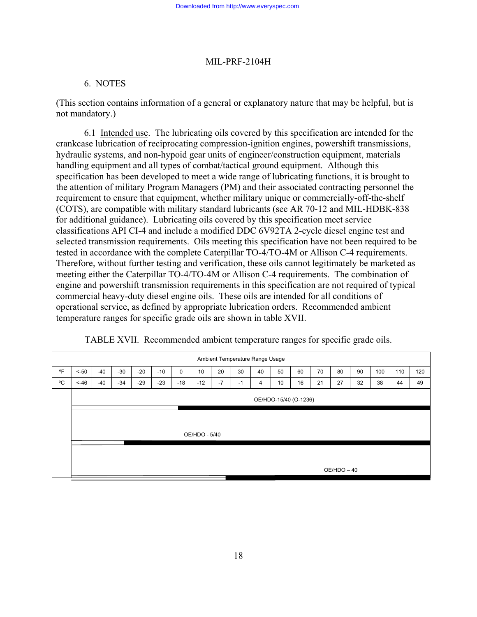# 6. NOTES

(This section contains information of a general or explanatory nature that may be helpful, but is not mandatory.)

6.1 Intended use. The lubricating oils covered by this specification are intended for the crankcase lubrication of reciprocating compression-ignition engines, powershift transmissions, hydraulic systems, and non-hypoid gear units of engineer/construction equipment, materials handling equipment and all types of combat/tactical ground equipment. Although this specification has been developed to meet a wide range of lubricating functions, it is brought to the attention of military Program Managers (PM) and their associated contracting personnel the requirement to ensure that equipment, whether military unique or commercially-off-the-shelf (COTS), are compatible with military standard lubricants (see AR 70-12 and MIL-HDBK-838 for additional guidance). Lubricating oils covered by this specification meet service classifications API CI-4 and include a modified DDC 6V92TA 2-cycle diesel engine test and selected transmission requirements. Oils meeting this specification have not been required to be tested in accordance with the complete Caterpillar TO-4/TO-4M or Allison C-4 requirements. Therefore, without further testing and verification, these oils cannot legitimately be marketed as meeting either the Caterpillar TO-4/TO-4M or Allison C-4 requirements. The combination of engine and powershift transmission requirements in this specification are not required of typical commercial heavy-duty diesel engine oils. These oils are intended for all conditions of operational service, as defined by appropriate lubrication orders. Recommended ambient temperature ranges for specific grade oils are shown in table XVII.

| Ambient Temperature Range Usage |                       |       |       |       |       |             |       |      |      |    |    |    |    |    |    |     |     |     |
|---------------------------------|-----------------------|-------|-------|-------|-------|-------------|-------|------|------|----|----|----|----|----|----|-----|-----|-----|
| $^{\circ}$ F                    | $< -50$               | $-40$ | $-30$ | $-20$ | $-10$ | $\mathbf 0$ | 10    | 20   | 30   | 40 | 50 | 60 | 70 | 80 | 90 | 100 | 110 | 120 |
| °C                              | $< -46$               | $-40$ | $-34$ | $-29$ | $-23$ | $-18$       | $-12$ | $-7$ | $-1$ | 4  | 10 | 16 | 21 | 27 | 32 | 38  | 44  | 49  |
|                                 | OE/HDO-15/40 (O-1236) |       |       |       |       |             |       |      |      |    |    |    |    |    |    |     |     |     |
|                                 |                       |       |       |       |       |             |       |      |      |    |    |    |    |    |    |     |     |     |
|                                 | OE/HDO - 5/40         |       |       |       |       |             |       |      |      |    |    |    |    |    |    |     |     |     |
|                                 |                       |       |       |       |       |             |       |      |      |    |    |    |    |    |    |     |     |     |
|                                 | OE/HDO-40             |       |       |       |       |             |       |      |      |    |    |    |    |    |    |     |     |     |

TABLE XVII. Recommended ambient temperature ranges for specific grade oils.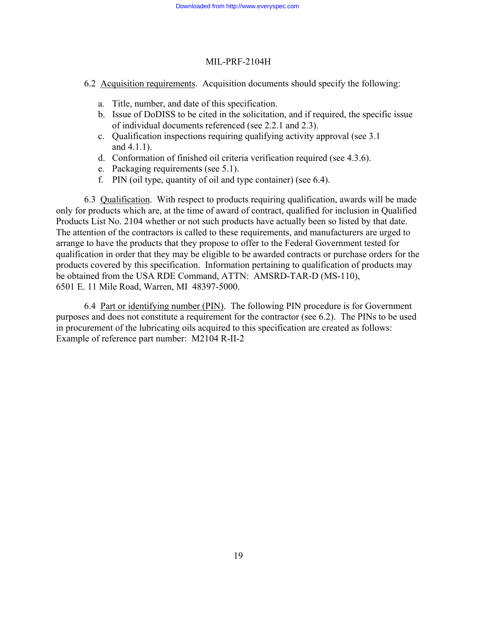6.2 Acquisition requirements. Acquisition documents should specify the following:

- a. Title, number, and date of this specification.
- b. Issue of DoDISS to be cited in the solicitation, and if required, the specific issue of individual documents referenced (see 2.2.1 and 2.3).
- c. Qualification inspections requiring qualifying activity approval (see 3.1 and 4.1.1).
- d. Conformation of finished oil criteria verification required (see 4.3.6).
- e. Packaging requirements (see 5.1).
- f. PIN (oil type, quantity of oil and type container) (see 6.4).

6.3 Qualification. With respect to products requiring qualification, awards will be made only for products which are, at the time of award of contract, qualified for inclusion in Qualified Products List No. 2104 whether or not such products have actually been so listed by that date. The attention of the contractors is called to these requirements, and manufacturers are urged to arrange to have the products that they propose to offer to the Federal Government tested for qualification in order that they may be eligible to be awarded contracts or purchase orders for the products covered by this specification. Information pertaining to qualification of products may be obtained from the USA RDE Command, ATTN: AMSRD-TAR-D (MS-110), 6501 E. 11 Mile Road, Warren, MI 48397-5000.

6.4 Part or identifying number (PIN). The following PIN procedure is for Government purposes and does not constitute a requirement for the contractor (see 6.2). The PINs to be used in procurement of the lubricating oils acquired to this specification are created as follows: Example of reference part number: M2104 R-II-2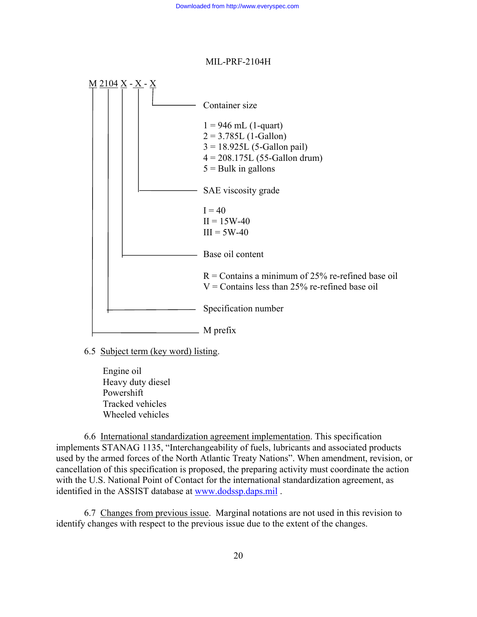

6.5 Subject term (key word) listing.

 Engine oil Heavy duty diesel Powershift Tracked vehicles Wheeled vehicles

6.6 International standardization agreement implementation. This specification implements STANAG 1135, "Interchangeability of fuels, lubricants and associated products used by the armed forces of the North Atlantic Treaty Nations". When amendment, revision, or cancellation of this specification is proposed, the preparing activity must coordinate the action with the U.S. National Point of Contact for the international standardization agreement, as identified in the ASSIST database at [www.dodssp.daps.mil](http://www.dodssp.daps.mil/) .

6.7 Changes from previous issue. Marginal notations are not used in this revision to identify changes with respect to the previous issue due to the extent of the changes.